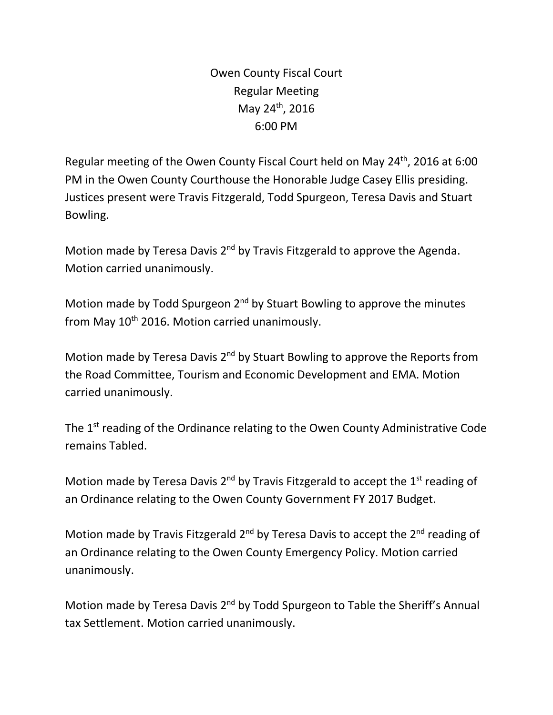Owen County Fiscal Court Regular Meeting May 24<sup>th</sup>, 2016 6:00 PM

Regular meeting of the Owen County Fiscal Court held on May 24th, 2016 at 6:00 PM in the Owen County Courthouse the Honorable Judge Casey Ellis presiding. Justices present were Travis Fitzgerald, Todd Spurgeon, Teresa Davis and Stuart Bowling.

Motion made by Teresa Davis 2<sup>nd</sup> by Travis Fitzgerald to approve the Agenda. Motion carried unanimously.

Motion made by Todd Spurgeon 2<sup>nd</sup> by Stuart Bowling to approve the minutes from May  $10^{th}$  2016. Motion carried unanimously.

Motion made by Teresa Davis 2<sup>nd</sup> by Stuart Bowling to approve the Reports from the Road Committee, Tourism and Economic Development and EMA. Motion carried unanimously.

The 1<sup>st</sup> reading of the Ordinance relating to the Owen County Administrative Code remains Tabled.

Motion made by Teresa Davis  $2^{nd}$  by Travis Fitzgerald to accept the  $1^{st}$  reading of an Ordinance relating to the Owen County Government FY 2017 Budget.

Motion made by Travis Fitzgerald  $2^{nd}$  by Teresa Davis to accept the  $2^{nd}$  reading of an Ordinance relating to the Owen County Emergency Policy. Motion carried unanimously.

Motion made by Teresa Davis 2<sup>nd</sup> by Todd Spurgeon to Table the Sheriff's Annual tax Settlement. Motion carried unanimously.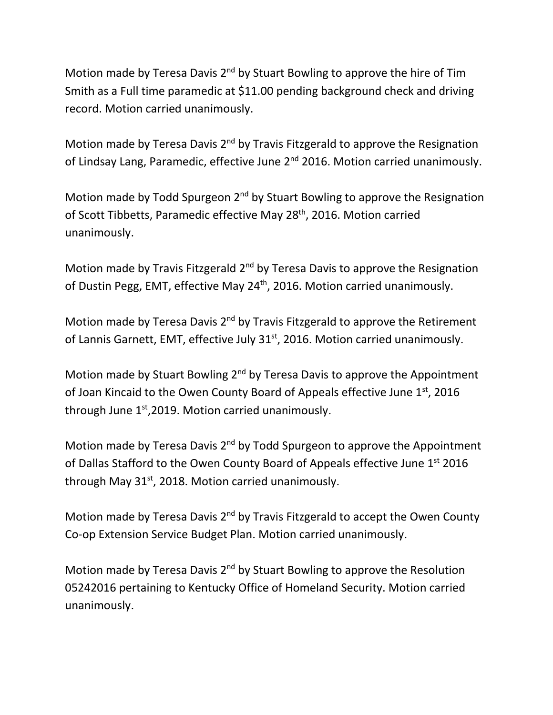Motion made by Teresa Davis 2<sup>nd</sup> by Stuart Bowling to approve the hire of Tim Smith as a Full time paramedic at \$11.00 pending background check and driving record. Motion carried unanimously.

Motion made by Teresa Davis 2<sup>nd</sup> by Travis Fitzgerald to approve the Resignation of Lindsay Lang, Paramedic, effective June 2<sup>nd</sup> 2016. Motion carried unanimously.

Motion made by Todd Spurgeon 2<sup>nd</sup> by Stuart Bowling to approve the Resignation of Scott Tibbetts, Paramedic effective May 28<sup>th</sup>, 2016. Motion carried unanimously.

Motion made by Travis Fitzgerald 2<sup>nd</sup> by Teresa Davis to approve the Resignation of Dustin Pegg, EMT, effective May 24<sup>th</sup>, 2016. Motion carried unanimously.

Motion made by Teresa Davis 2<sup>nd</sup> by Travis Fitzgerald to approve the Retirement of Lannis Garnett, EMT, effective July 31<sup>st</sup>, 2016. Motion carried unanimously.

Motion made by Stuart Bowling 2<sup>nd</sup> by Teresa Davis to approve the Appointment of Joan Kincaid to the Owen County Board of Appeals effective June 1st, 2016 through June  $1<sup>st</sup>$ , 2019. Motion carried unanimously.

Motion made by Teresa Davis  $2^{nd}$  by Todd Spurgeon to approve the Appointment of Dallas Stafford to the Owen County Board of Appeals effective June 1st 2016 through May  $31<sup>st</sup>$ , 2018. Motion carried unanimously.

Motion made by Teresa Davis 2<sup>nd</sup> by Travis Fitzgerald to accept the Owen County Co-op Extension Service Budget Plan. Motion carried unanimously.

Motion made by Teresa Davis 2<sup>nd</sup> by Stuart Bowling to approve the Resolution 05242016 pertaining to Kentucky Office of Homeland Security. Motion carried unanimously.